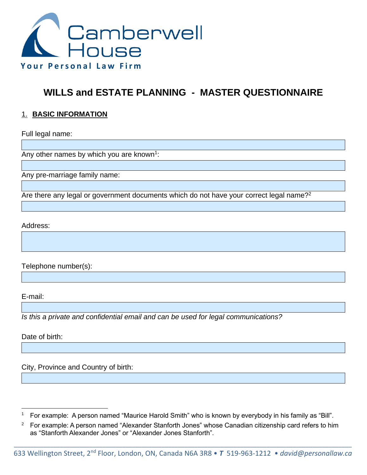

# **WILLS and ESTATE PLANNING - MASTER QUESTIONNAIRE**

#### 1. **BASIC INFORMATION**

Full legal name:

Any other names by which you are known<sup>1</sup>:

Any pre-marriage family name:

Are there any legal or government documents which do not have your correct legal name?<sup>2</sup>

Address:

Telephone number(s):

E-mail:

*Is this a private and confidential email and can be used for legal communications?*

Date of birth:

City, Province and Country of birth:

<sup>&</sup>lt;sup>1</sup> For example: A person named "Maurice Harold Smith" who is known by everybody in his family as "Bill".

<sup>&</sup>lt;sup>2</sup> For example: A person named "Alexander Stanforth Jones" whose Canadian citizenship card refers to him as "Stanforth Alexander Jones" or "Alexander Jones Stanforth".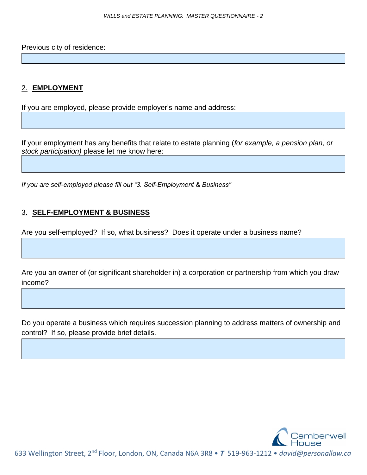Previous city of residence:

#### 2. **EMPLOYMENT**

If you are employed, please provide employer's name and address:

If your employment has any benefits that relate to estate planning (*for example, a pension plan, or stock participation)* please let me know here:

*If you are self-employed please fill out "3. Self-Employment & Business"*

#### 3. **SELF-EMPLOYMENT & BUSINESS**

Are you self-employed? If so, what business? Does it operate under a business name?

Are you an owner of (or significant shareholder in) a corporation or partnership from which you draw income?

Do you operate a business which requires succession planning to address matters of ownership and control? If so, please provide brief details.

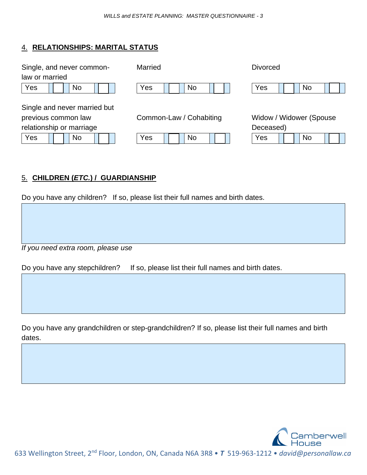#### 4. **RELATIONSHIPS: MARITAL STATUS**

| Single, and never common-    | Married                 | <b>Divorced</b>         |
|------------------------------|-------------------------|-------------------------|
| law or married               |                         |                         |
| Yes<br>No                    | Yes<br>No               | Yes<br>No               |
|                              |                         |                         |
| Single and never married but |                         |                         |
| previous common law          | Common-Law / Cohabiting | Widow / Widower (Spouse |
| relationship or marriage     |                         | Deceased)               |
| Yes<br>No                    | Yes<br>No               | Yes<br>No               |
|                              |                         |                         |

## 5. **CHILDREN (***ETC.***) / GUARDIANSHIP**

Do you have any children? If so, please list their full names and birth dates.

*If you need extra room, please use* 

Do you have any stepchildren? If so, please list their full names and birth dates.

Do you have any grandchildren or step-grandchildren? If so, please list their full names and birth dates.

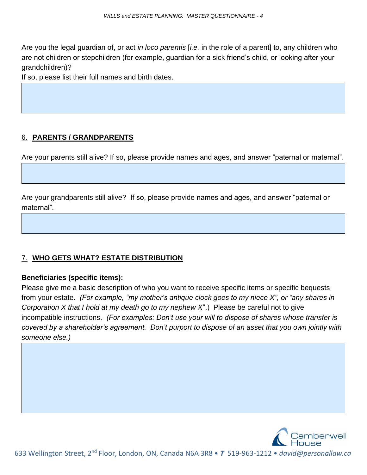Are you the legal guardian of, or act *in loco parentis* [*i.e.* in the role of a parent] to, any children who are not children or stepchildren (for example, guardian for a sick friend's child, or looking after your grandchildren)?

If so, please list their full names and birth dates.

# 6. **PARENTS / GRANDPARENTS**

Are your parents still alive? If so, please provide names and ages, and answer "paternal or maternal".

Are your grandparents still alive? If so, please provide names and ages, and answer "paternal or maternal".

#### 7. **WHO GETS WHAT? ESTATE DISTRIBUTION**

#### **Beneficiaries (specific items):**

Please give me a basic description of who you want to receive specific items or specific bequests from your estate. *(For example, "my mother's antique clock goes to my niece X", or "any shares in Corporation X that I hold at my death go to my nephew X*".) Please be careful not to give incompatible instructions. *(For examples: Don't use your will to dispose of shares whose transfer is covered by a shareholder's agreement. Don't purport to dispose of an asset that you own jointly with someone else.)*

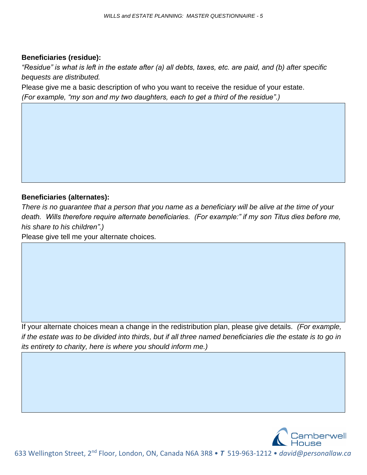#### **Beneficiaries (residue):**

*"Residue" is what is left in the estate after (a) all debts, taxes, etc. are paid, and (b) after specific bequests are distributed.*

Please give me a basic description of who you want to receive the residue of your estate. *(For example, "my son and my two daughters, each to get a third of the residue".)*

#### **Beneficiaries (alternates):**

*There is no guarantee that a person that you name as a beneficiary will be alive at the time of your death. Wills therefore require alternate beneficiaries. (For example:" if my son Titus dies before me, his share to his children".)*

Please give tell me your alternate choices*.* 

If your alternate choices mean a change in the redistribution plan, please give details*. (For example, if the estate was to be divided into thirds, but if all three named beneficiaries die the estate is to go in its entirety to charity, here is where you should inform me.)* 

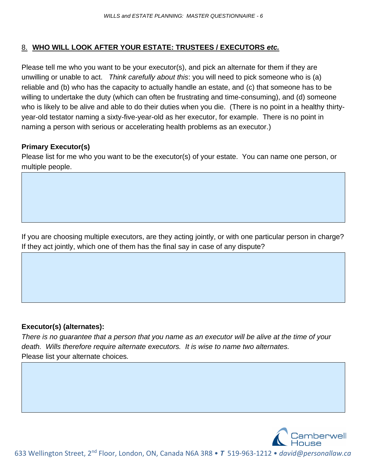### 8. **WHO WILL LOOK AFTER YOUR ESTATE: TRUSTEES / EXECUTORS** *etc.*

Please tell me who you want to be your executor(s), and pick an alternate for them if they are unwilling or unable to act. *Think carefully about this*: you will need to pick someone who is (a) reliable and (b) who has the capacity to actually handle an estate, and (c) that someone has to be willing to undertake the duty (which can often be frustrating and time-consuming), and (d) someone who is likely to be alive and able to do their duties when you die. (There is no point in a healthy thirtyyear-old testator naming a sixty-five-year-old as her executor, for example. There is no point in naming a person with serious or accelerating health problems as an executor.)

#### **Primary Executor(s)**

Please list for me who you want to be the executor(s) of your estate. You can name one person, or multiple people.

If you are choosing multiple executors, are they acting jointly, or with one particular person in charge? If they act jointly, which one of them has the final say in case of any dispute?

#### **Executor(s) (alternates):**

*There is no guarantee that a person that you name as an executor will be alive at the time of your death. Wills therefore require alternate executors. It is wise to name two alternates.* Please list your alternate choices*.* 

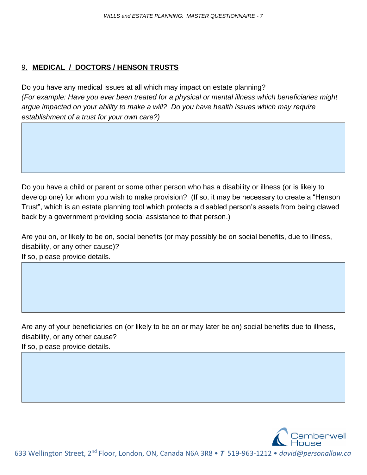## 9. **MEDICAL / DOCTORS / HENSON TRUSTS**

Do you have any medical issues at all which may impact on estate planning? *(For example: Have you ever been treated for a physical or mental illness which beneficiaries might argue impacted on your ability to make a will? Do you have health issues which may require establishment of a trust for your own care?)*

Do you have a child or parent or some other person who has a disability or illness (or is likely to develop one) for whom you wish to make provision? (If so, it may be necessary to create a "Henson Trust", which is an estate planning tool which protects a disabled person's assets from being clawed back by a government providing social assistance to that person.)

Are you on, or likely to be on, social benefits (or may possibly be on social benefits, due to illness, disability, or any other cause)? If so, please provide details.

Are any of your beneficiaries on (or likely to be on or may later be on) social benefits due to illness, disability, or any other cause? If so, please provide details.

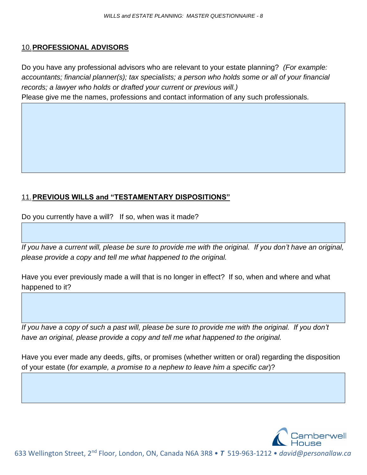#### 10.**PROFESSIONAL ADVISORS**

Do you have any professional advisors who are relevant to your estate planning? *(For example: accountants; financial planner(s); tax specialists; a person who holds some or all of your financial records; a lawyer who holds or drafted your current or previous will.)* Please give me the names, professions and contact information of any such professionals.

# 11.**PREVIOUS WILLS and "TESTAMENTARY DISPOSITIONS"**

Do you currently have a will? If so, when was it made?

*If you have a current will, please be sure to provide me with the original. If you don't have an original, please provide a copy and tell me what happened to the original.*

Have you ever previously made a will that is no longer in effect? If so, when and where and what happened to it?

If you have a copy of such a past will, please be sure to provide me with the original. If you don't *have an original, please provide a copy and tell me what happened to the original.*

Have you ever made any deeds, gifts, or promises (whether written or oral) regarding the disposition of your estate (*for example, a promise to a nephew to leave him a specific car*)?

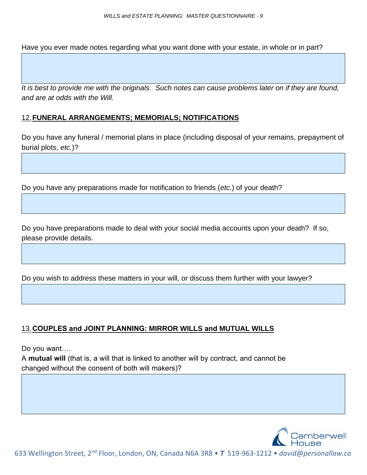Have you ever made notes regarding what you want done with your estate, in whole or in part?

*It is best to provide me with the originals. Such notes can cause problems later on if they are found, and are at odds with the Will.*

#### 12.**FUNERAL ARRANGEMENTS; MEMORIALS; NOTIFICATIONS**

Do you have any funeral / memorial plans in place (including disposal of your remains, prepayment of burial plots, *etc.*)?

Do you have any preparations made for notification to friends (*etc.*) of your death?

Do you have preparations made to deal with your social media accounts upon your death? If so, please provide details.

Do you wish to address these matters in your will, or discuss them further with your lawyer?

#### 13.**COUPLES and JOINT PLANNING: MIRROR WILLS and MUTUAL WILLS**

Do you want….

A **mutual will** (that is, a will that is linked to another will by contract, and cannot be changed without the consent of both will makers)?

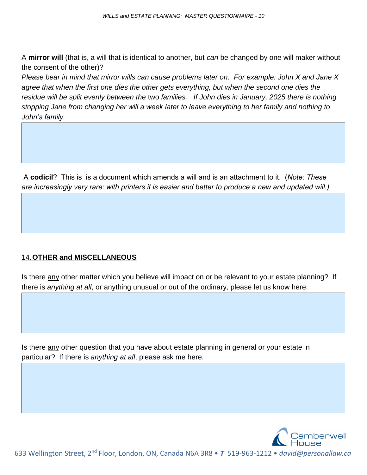A **mirror will** (that is, a will that is identical to another, but *can* be changed by one will maker without the consent of the other)?

*Please bear in mind that mirror wills can cause problems later on. For example: John X and Jane X*  agree that when the first one dies the other gets everything, but when the second one dies the *residue will be split evenly between the* two *families. If John dies in January, 2025 there is nothing stopping Jane from changing her will a week later to leave everything to her family and nothing to John's family.*

A **codicil**? This is is a document which amends a will and is an attachment to it. (*Note: These are increasingly very rare: with printers it is easier and better to produce a new and updated will.)*

# 14.**OTHER and MISCELLANEOUS**

Is there any other matter which you believe will impact on or be relevant to your estate planning? If there is *anything at all*, or anything unusual or out of the ordinary, please let us know here.

Is there any other question that you have about estate planning in general or your estate in particular? If there is *anything at all*, please ask me here.

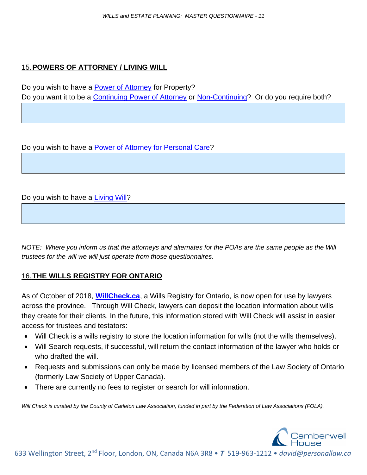### 15.**POWERS OF ATTORNEY / LIVING WILL**

Do you wish to have a [Power of Attorney](http://personallaw.ca/2021/04/13/what-is-a-power-of-attorney/) for Property? Do you want it to be a [Continuing Power of Attorney](http://personallaw.ca/2021/04/13/what-is-a-continuing-power-of-attorney-for-property/) or [Non-Continuing?](http://personallaw.ca/2021/04/13/what-is-a-non-continuing-power-of-attorney-for-property/) Or do you require both?

Do you wish to have a **Power of Attorney for Personal Care?** 

Do you wish to have a **Living Will?** 

*NOTE:* Where you inform us that the attorneys and alternates for the POAs are the same people as the Will *trustees for the will we will just operate from those questionnaires.*

#### 16.**THE WILLS REGISTRY FOR ONTARIO**

As of October of 2018, **[WillCheck.ca](https://willcheck.ca/)**, a Wills Registry for Ontario, is now open for use by lawyers across the province. Through Will Check, lawyers can deposit the location information about wills they create for their clients. In the future, this information stored with Will Check will assist in easier access for trustees and testators:

- Will Check is a wills registry to store the location information for wills (not the wills themselves).
- Will Search requests, if successful, will return the contact information of the lawyer who holds or who drafted the will.
- Requests and submissions can only be made by licensed members of the Law Society of Ontario (formerly Law Society of Upper Canada).
- There are currently no fees to register or search for will information.

*Will Check is curated by the County of Carleton Law Association, funded in part by the Federation of Law Associations (FOLA).*